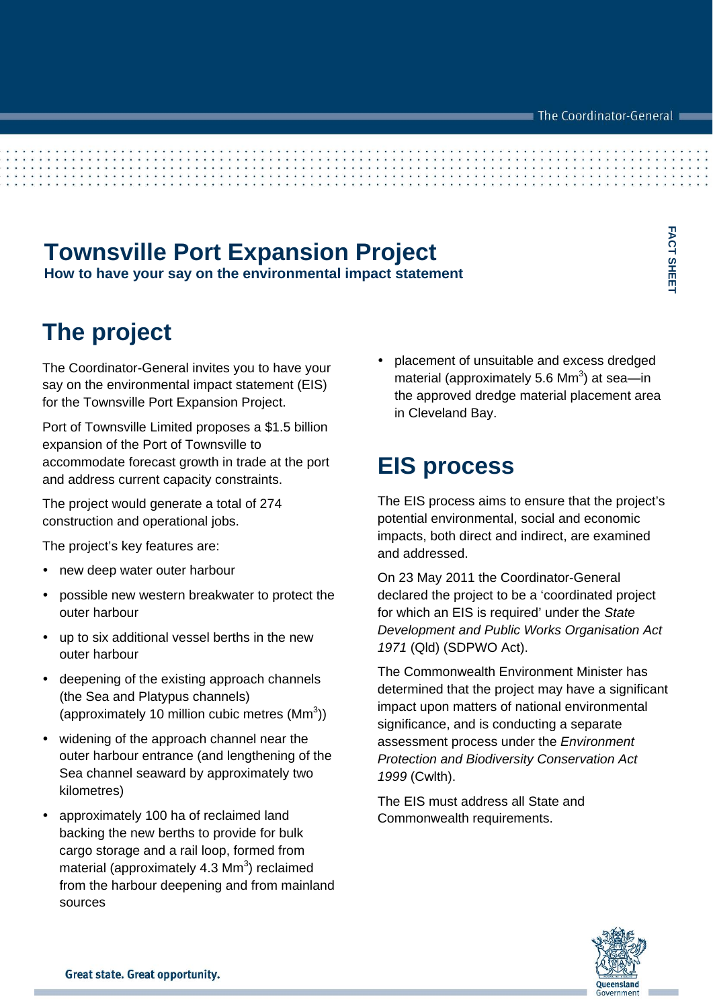**FACT SHEET** 

FACT SHEET

## **Townsville Port Expansion Project**

**How to have your say on the environmental impact statement** 

## **The project**

The Coordinator-General invites you to have your say on the environmental impact statement (EIS) for the Townsville Port Expansion Project.

Port of Townsville Limited proposes a \$1.5 billion expansion of the Port of Townsville to accommodate forecast growth in trade at the port and address current capacity constraints.

The project would generate a total of 274 construction and operational jobs.

The project's key features are:

- new deep water outer harbour
- possible new western breakwater to protect the outer harbour
- up to six additional vessel berths in the new outer harbour
- deepening of the existing approach channels (the Sea and Platypus channels) (approximately 10 million cubic metres  $(Mm<sup>3</sup>)$ )
- widening of the approach channel near the outer harbour entrance (and lengthening of the Sea channel seaward by approximately two kilometres)
- approximately 100 ha of reclaimed land backing the new berths to provide for bulk cargo storage and a rail loop, formed from material (approximately 4.3  $\text{Mm}^3$ ) reclaimed from the harbour deepening and from mainland sources

 placement of unsuitable and excess dredged material (approximately 5.6 Mm<sup>3</sup>) at sea—in the approved dredge material placement area in Cleveland Bay.

### **EIS process**

The EIS process aims to ensure that the project's potential environmental, social and economic impacts, both direct and indirect, are examined and addressed.

On 23 May 2011 the Coordinator-General declared the project to be a 'coordinated project for which an EIS is required' under the *State Development and Public Works Organisation Act 1971* (Qld) (SDPWO Act).

The Commonwealth Environment Minister has determined that the project may have a significant impact upon matters of national environmental significance, and is conducting a separate assessment process under the *Environment Protection and Biodiversity Conservation Act 1999* (Cwlth).

The EIS must address all State and Commonwealth requirements.

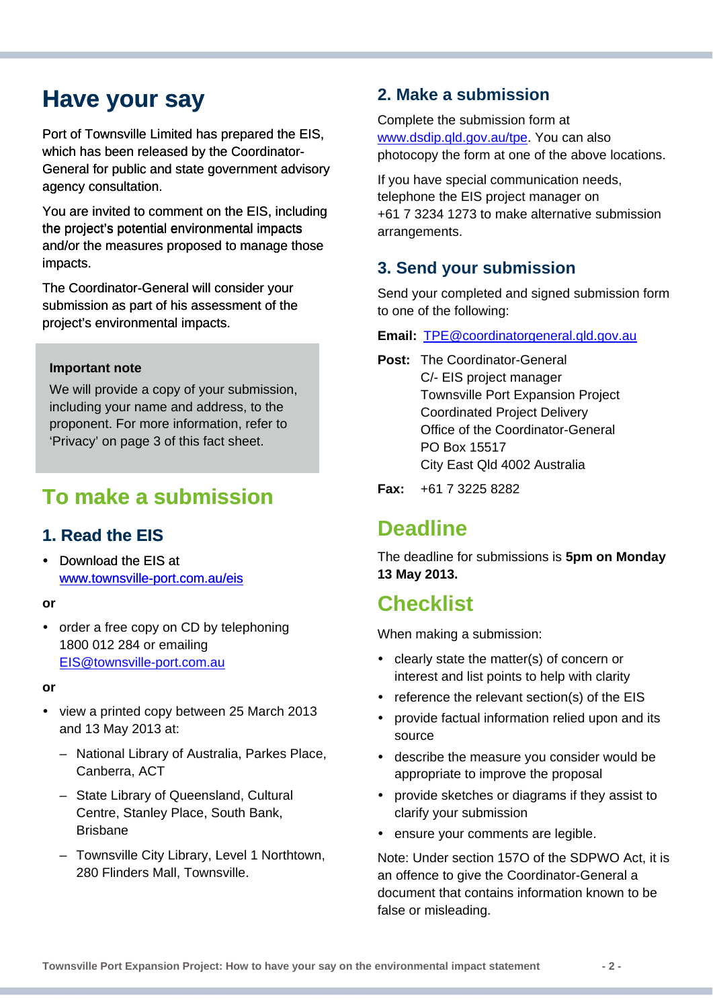## **Have your say**

Port of Townsville Limited has prepared the EIS, which has been released by the Coordinator-General for public and state government advisory agency consultation.

You are invited to comment on the EIS, including the project's potential environmental impacts and/or the measures proposed to manage those impacts.

The Coordinator-General will consider your submission as part of his assessment of the project's environmental impacts.

#### **Important note**

We will provide a copy of your submission, including your name and address, to the proponent. For more information, refer to 'Privacy' on page 3 of this fact sheet.

### **To make a submission**

### **1. Read the EIS**

 [Download the EIS at](http://www.townsville-port.com.au/eis)  [www.townsville-port.com.au/eis](http://www.townsville-port.com.au/eis) 

#### **or**

• order a free copy on CD by telephoning 1800 012 284 or emailing [EIS@townsville-port.com.au](mailto:EIS@townsville-port.com.au)

#### **or**

- view a printed copy between 25 March 2013 and 13 May 2013 at:
	- National Library of Australia, Parkes Place, Canberra, ACT
	- State Library of Queensland, Cultural Centre, Stanley Place, South Bank, Brisbane
	- Townsville City Library, Level 1 Northtown, 280 Flinders Mall, Townsville.

### **2. Make a submission**

Complete the submission form at [www.dsdip.qld.gov.au/tpe.](http://www.dsdip.qld.gov.au/tpe) You can also photocopy the form at one of the above locations.

If you have special communication needs, telephone the EIS project manager on +61 7 3234 1273 to make alternative submission arrangements.

### **3. Send your submission**

Send your completed and signed submission form to one of the following:

**Email:** [TPE@coordinatorgeneral.qld.gov.au](mailto:TPE@coordinatorgeneral.qld.gov.au) 

- **Post:** The Coordinator-General C/- EIS project manager Townsville Port Expansion Project Coordinated Project Delivery Office of the Coordinator-General PO Box 15517 City East Qld 4002 Australia
- **Fax:** +61 7 3225 8282

### **Deadline**

The deadline for submissions is **5pm on Monday 13 May 2013.** 

### **Checklist**

When making a submission:

- clearly state the matter(s) of concern or interest and list points to help with clarity
- $\cdot$  reference the relevant section(s) of the EIS
- provide factual information relied upon and its source
- describe the measure you consider would be appropriate to improve the proposal
- provide sketches or diagrams if they assist to clarify your submission
- ensure your comments are legible.

Note: Under section 157O of the SDPWO Act, it is an offence to give the Coordinator-General a document that contains information known to be false or misleading.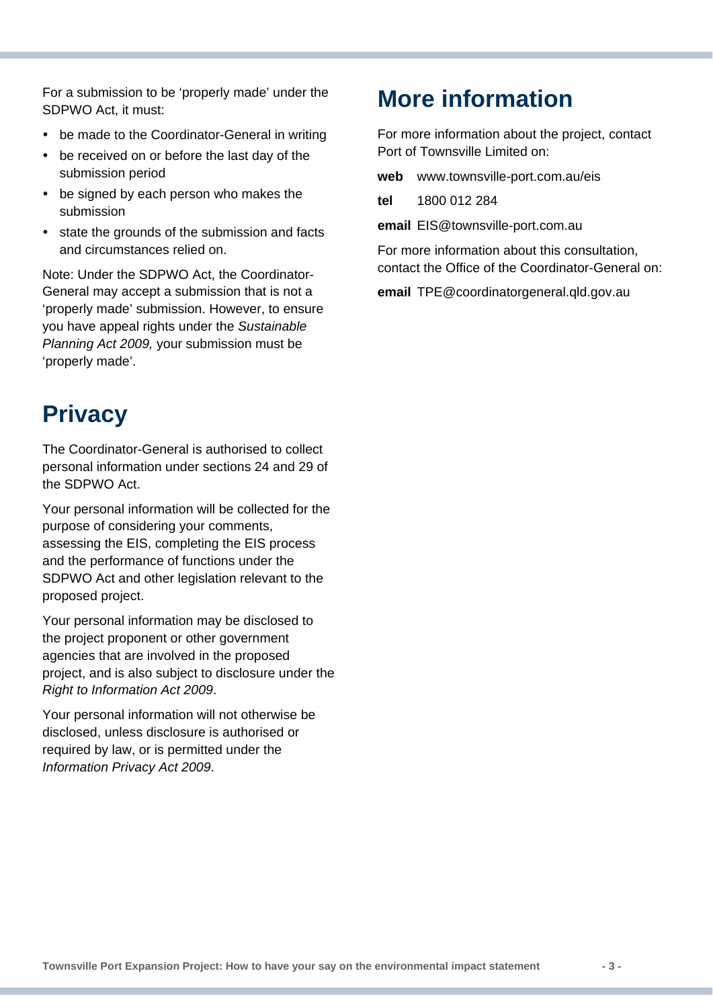For a submission to be 'properly made' under the SDPWO Act, it must:

- be made to the Coordinator-General in writing
- be received on or before the last day of the submission period
- be signed by each person who makes the submission
- state the grounds of the submission and facts and circumstances relied on.

Note: Under the SDPWO Act, the Coordinator-General may accept a submission that is not a 'properly made' submission. However, to ensure you have appeal rights under the *Sustainable Planning Act 2009,* your submission must be 'properly made'.

# **Privacy**

The Coordinator-General is authorised to collect personal information under sections 24 and 29 of the SDPWO Act.

Your personal information will be collected for the purpose of considering your comments, assessing the EIS, completing the EIS process and the performance of functions under the SDPWO Act and other legislation relevant to the proposed project.

Your personal information may be disclosed to the project proponent or other government agencies that are involved in the proposed project, and is also subject to disclosure under the *Right to Information Act 2009*.

Your personal information will not otherwise be disclosed, unless disclosure is authorised or required by law, or is permitted under the *Information Privacy Act 2009*.

## **More information**

For more information about the project, contact Port of Townsville Limited on:

**web** www.townsville-port.com.au/eis

**tel** 1800 012 284

**email** EIS@townsville-port.com.au

For more information about this consultation, contact the Office of the Coordinator-General on:

**email** TPE@coordinatorgeneral.qld.gov.au